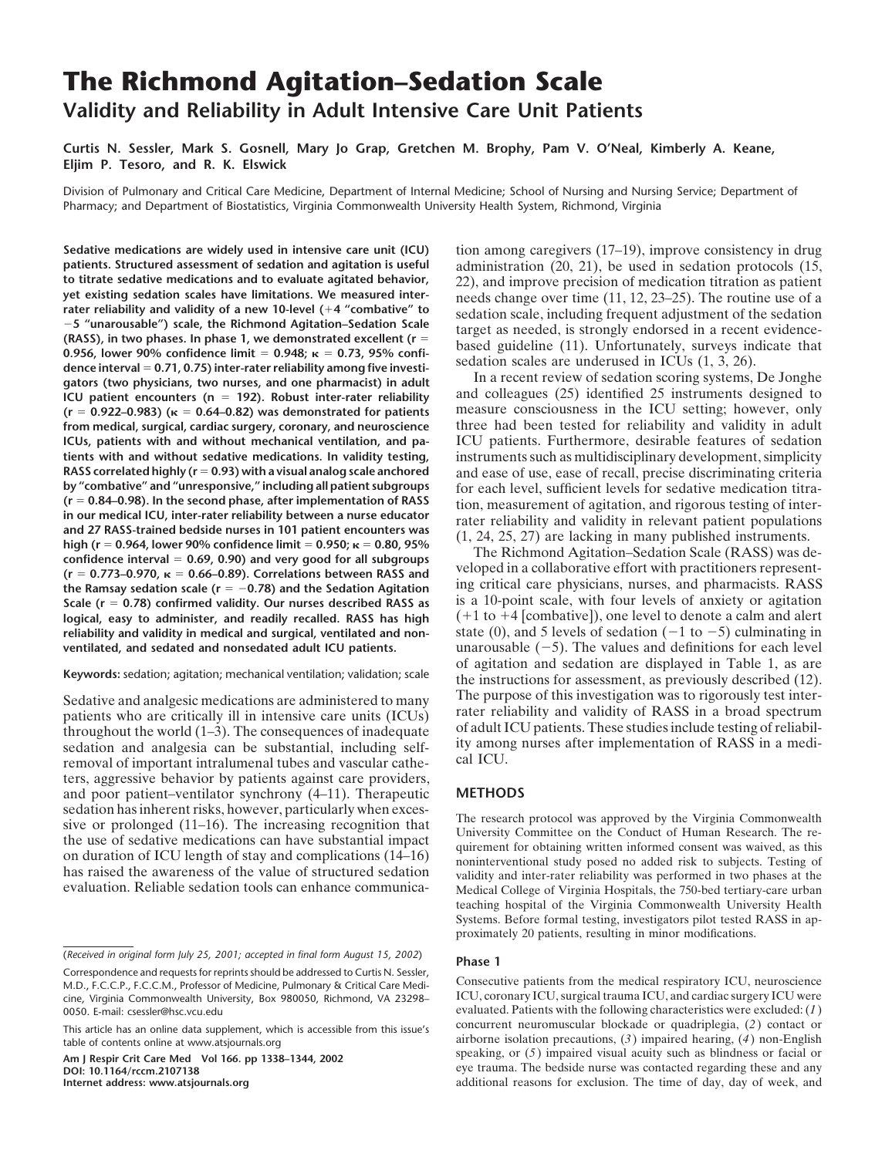# **The Richmond Agitation–Sedation Scale Validity and Reliability in Adult Intensive Care Unit Patients**

**Curtis N. Sessler, Mark S. Gosnell, Mary Jo Grap, Gretchen M. Brophy, Pam V. O'Neal, Kimberly A. Keane, Eljim P. Tesoro, and R. K. Elswick**

Division of Pulmonary and Critical Care Medicine, Department of Internal Medicine; School of Nursing and Nursing Service; Department of Pharmacy; and Department of Biostatistics, Virginia Commonwealth University Health System, Richmond, Virginia

**Sedative medications are widely used in intensive care unit (ICU)** tion among caregivers (17–19), improve consistency in drug patients. Structured assessment of sedation and agitation is useful administration (20, 21), be **patients. Structured assessment of sedation and agitation is useful** administration (20, 21), be used in sedation protocols (15, to titrate sedative medications and to evaluate agitated behavior, 22), and improve precisio to titrate sedative medications and to evaluate agitated behavior,<br>yet existing sedation scales have limitations. We measured inter-<br>needs change over time  $(11, 12, 23-25)$ . The routine use of a<br>rater reliability and val -5 "unarousable") scale, the Richmond Agitation-Sedation Scale<br>
(RASS), in two phases. In phase 1, we demonstrated excellent ( $r = 0.956$ , lower 90% confidence limit = 0.948;  $\kappa$  = 0.73, 95% confi-<br>
dence interval = 0.71 **ICU patient encounters (n** = 192). Robust inter-rater reliability and colleagues (25) identified 25 instruments designed to (r = 0.922–0.983) ( $\kappa$  = 0.64–0.82) was demonstrated for patients measure consciousness in the  $(r = 0.922-0.983)$  ( $\kappa = 0.64-0.82$ ) was demonstrated for patients measure consciousness in the ICU setting; however, only from medical surgical cardiac surgery coronary and neuroscience three had been tested for reliabil from medical, surgical, cardiac surgery, coronary, and neuroscience **ICUs, patients with and without mechanical ventilation, and pa-** ICU patients. Furthermore, desirable features of sedation **tients with and without sedative medications. In validity testing,** instruments such as multidisciplinary development, simplicity **RASS correlated highly (r = 0.93)** with a visual analog scale anchored and ease of use, ea **RASS correlated highly (r = 0.93) with a visual analog scale anchored** and ease of use, ease of recall, precise discriminating criteria<br>by "combative" and "unresponsive," including all patient subgroups for each level suf **by "combative" and "unresponsive," including all patient subgroups** for each level, sufficient levels for sedative medication titra-<br>(**r** = 0.84–0.98). In the second phase, after implementation of RASS from measurement of ( $r = 0.84-0.98$ ). In the second phase, after implementation of RASS<br>
in our medical ICU, inter-rater reliability between a nurse educator<br>
and 27 RASS-trained bedside nurses in 101 patient encounters was<br>
high ( $r = 0.964$ the Ramsay sedation scale ( $r = -0.78$ ) and the Sedation Agitation **Scale (r** = 0.78) confirmed validity. Our nurses described RASS as is a 10-point scale, with four levels of anxiety or agitation **logical, easy to administer, and readily recalled. RASS has high**  $(+1 \text{ to } +4 \text{ [combative]})$ , one level to denote a calm and alert reliability and validity in medical and surgical, ventilated and nonventilated, and sedated and nonsedated adult ICU patients.

patients who are critically ill in intensive care units (ICUs) rater reliability and validity of RASS in a broad spectrum patients who are critically ill in intensive care units (ICUs) rater reliability and validity of RA throughout the world  $(1-3)$ . The consequences of inadequate of adult ICU patients. I hese studies include testing of reliabil-<br>sedation and analgesia can be substantial, including self-<br>removal of important intralumenal ters, aggressive behavior by patients against care providers, and poor patient–ventilator synchrony (4–11). Therapeutic **METHODS** sedation has inherent risks, however, particularly when exces-<br>sive or prolonged (11–16). The increasing recognition that<br>the use of sedative medications can have substantial impact<br>on duration of ICU length of stay and co

1 to  $-5$ ) culminating in unarousable  $(-5)$ . The values and definitions for each level of agitation and sedation are displayed in Table 1, as are **Keywords:** sedation; agitation; mechanical ventilation; validation; scale the instructions for assessment, as previously described (12). Sedative and analgesic medications are administered to many The purpose of this investigation was to rigorously test inter-

teaching hospital of the Virginia Commonwealth University Health Systems. Before formal testing, investigators pilot tested RASS in approximately 20 patients, resulting in minor modifications.

evaluated. Patients with the following characteristics were excluded:  $(1)$ This article has an online data supplement, which is accessible from this issue's concurrent neuromuscular blockade or quadriplegia,  $(2)$  contact or airborne isolation precautions,  $(3)$  impaired hearing,  $(4)$  non-Engli speaking, or (5) impaired visual acuity such as blindness or facial or **Am J Respir Crit Care Med Vol 166. pp 1338–1344, 2002**<br> **Speaking, or (5) impaired visual acuity such as blindness or facial or** eye trauma. The bedsi POI: 10.1164/rccm.2107138<br> **DOI: 10.1164/rccm.2107138** eye trauma. The bedside nurse was contacted regarding these and any<br> **Internet address:** www.atsjournals.org<br> **DOI: 10.1164/rccm.2107138** additional reasons for exclusion. The time of day, day of week, and

<sup>(</sup>*Received in original form July 25, 2001; accepted in final form August 15, 2002*) **Phase 1**

Correspondence and requests for reprints should be addressed to Curtis N. Sessler, M.D., F.C.C.P., F.C.C.M., Professor of Medicine, Pulmonary & Critical Care Medi-<br>M.D., F.C.C.P., F.C.C.M., Professor of Medicine, Pulmonary & Critical Care Medi-<br>CONSECUTIVE patients from the medical respiratory ICU, neuro cine, Virginia Commonwealth University, Box 980050, Richmond, VA 23298-0050. E-mail: csessler@hsc.vcu.edu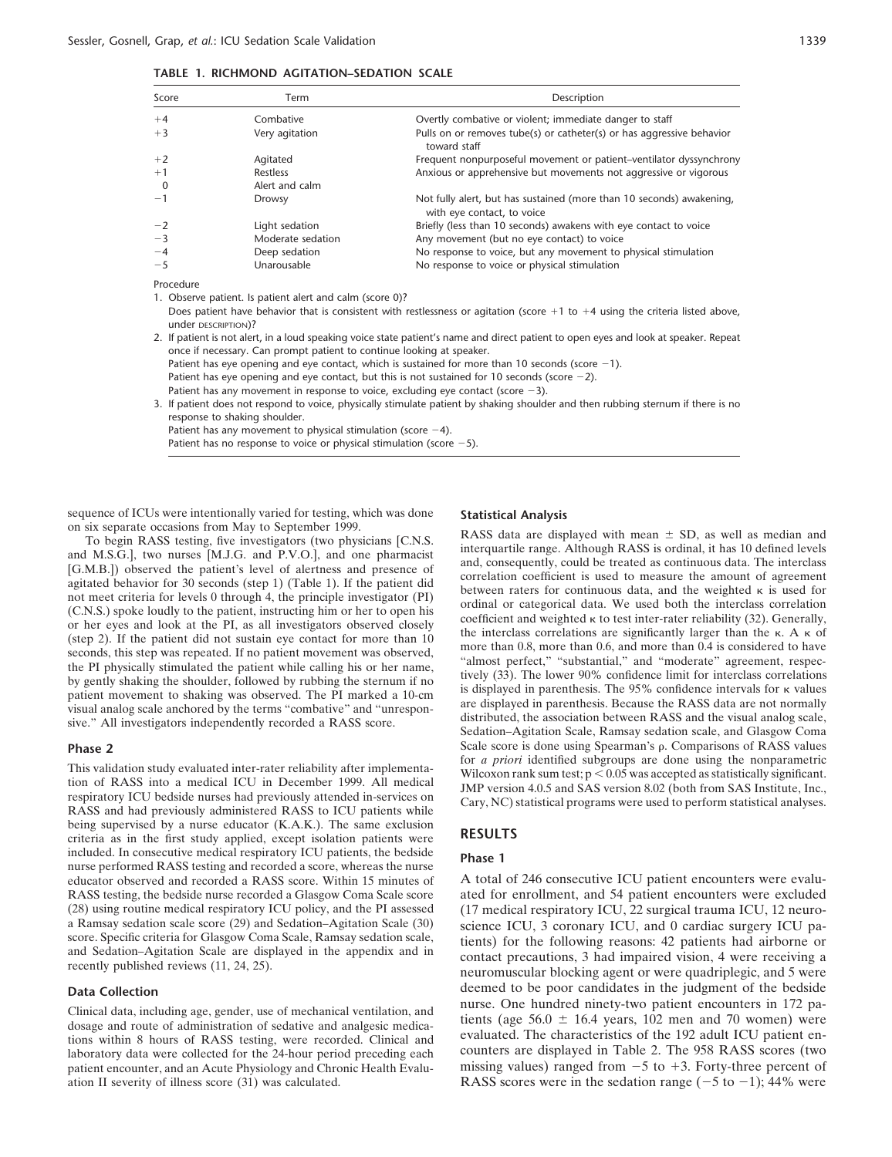| Score               | Term                                                     | Description                                                                                                                           |
|---------------------|----------------------------------------------------------|---------------------------------------------------------------------------------------------------------------------------------------|
| $+4$                | Combative                                                | Overtly combative or violent; immediate danger to staff                                                                               |
| $+3$                | Very agitation                                           | Pulls on or removes tube(s) or catheter(s) or has aggressive behavior<br>toward staff                                                 |
| $+2$                | Agitated                                                 | Frequent nonpurposeful movement or patient-ventilator dyssynchrony                                                                    |
| $+1$                | <b>Restless</b>                                          | Anxious or apprehensive but movements not aggressive or vigorous                                                                      |
| $\mathbf 0$         | Alert and calm                                           |                                                                                                                                       |
| $-1$                | Drowsy                                                   | Not fully alert, but has sustained (more than 10 seconds) awakening,<br>with eye contact, to voice                                    |
| $-2$                | Light sedation                                           | Briefly (less than 10 seconds) awakens with eye contact to voice                                                                      |
| $-3$                | Moderate sedation                                        | Any movement (but no eye contact) to voice                                                                                            |
| $-4$                | Deep sedation                                            | No response to voice, but any movement to physical stimulation                                                                        |
| $-5$                | Unarousable                                              | No response to voice or physical stimulation                                                                                          |
| Procedure           |                                                          |                                                                                                                                       |
|                     | 1. Observe patient. Is patient alert and calm (score 0)? |                                                                                                                                       |
| under DESCRIPTION)? |                                                          | Does patient have behavior that is consistent with restlessness or agitation (score $+1$ to $+4$ using the criteria listed above,     |
|                     |                                                          | 2. If patient is not alert, in a loud speaking voice state patient's name and direct patient to open eyes and look at speaker. Repeat |

once if necessary. Can prompt patient to continue looking at speaker. Patient has eye opening and eye contact, which is sustained for more than 10 seconds (score  $-1$ ). Patient has eye opening and eye contact, but this is not sustained for 10 seconds (score  $-2$ ). Patient has any movement in response to voice, excluding eye contact (score  $-3$ ). 3. If patient does not respond to voice, physically stimulate patient by shaking shoulder and then rubbing sternum if there is no

response to shaking shoulder. Patient has any movement to physical stimulation (score  $-4$ ).

Patient has no response to voice or physical stimulation (score  $-5$ ).

sequence of ICUs were intentionally varied for testing, which was done<br>on six separate occasions from May to September 1999.

This validation study evaluated inter-rater reliability after implementa-<br>
tion of RASS into a medical ICU in December 1999. All medical<br>
respiratory ICU bedside nurses had previously attended in-services on<br>
RASS and had being supervised by a nurse educator (K.A.K.). The same exclusion criteria as in the first study applied, except isolation patients were **RESULTS** included. In consecutive medical respiratory ICU patients, the bedside<br>
nurse performed RASS testing and recorded a score, whereas the nurse<br>
educator observed and recorded a RASS score. Within 15 minutes of A total of 246 educator observed and recorded a RASS score. Within 15 minutes of RASS testing, the bedside nurse recorded a Glasgow Coma Scale score ated for enrollment, and 54 patient encounters were excluded (28) using routine medical respiratory ICU policy, and the PI assessed (17 medical respiratory ICU, 22 surgical trauma ICU, 12 neuro-<br>a Ramsay sedation scale score (29) and Sedation-Agitation Scale (30) science ICU, 3 coro

laboratory data were collected for the 24-hour period preceding each patient encounter, and an Acute Physiology and Chronic Health Evaluation II severity of illness score (31) was calculated.

To begin RASS data are displayed with mean  $\pm$  SD, as well as median and M.S.G.], two nurses [M.J.G. and P.V.O.], and one pharmacist<br>
and M.S.G.], two nurses [M.J.G. and P.V.O.], and one pharmacist<br>
and consequently, cou **Phase 2** Scale score is done using Spearman's  $\rho$ . Comparisons of RASS values<br>
For a priori identified subgroups are done using the nonparametric

score. Specific criteria for Glasgow Coma Scale, Ramsay sedation scale,<br>and Sedation-Agitation Scale are displayed in the appendix and in<br>recently published reviews (11, 24, 25).<br>means of the following reasons: 42 patients **Data Collection**<br>Clinical data including are can deep use of mechanical untilation and<br>Clinical data including are can deep use of mechanical untilation and<br>Clinical data including are can deep use of mechanical untilatio Clinical data, including age, gender, use of mechanical ventilation, and<br>dosage and route of administration of sedative and analgesic medica-<br>tions within 8 hours of RASS testing, were recorded. Clinical and<br>laboratory da missing values) ranged from  $-5$  to  $+3$ . Forty-three percent of 5 to -1); 44% were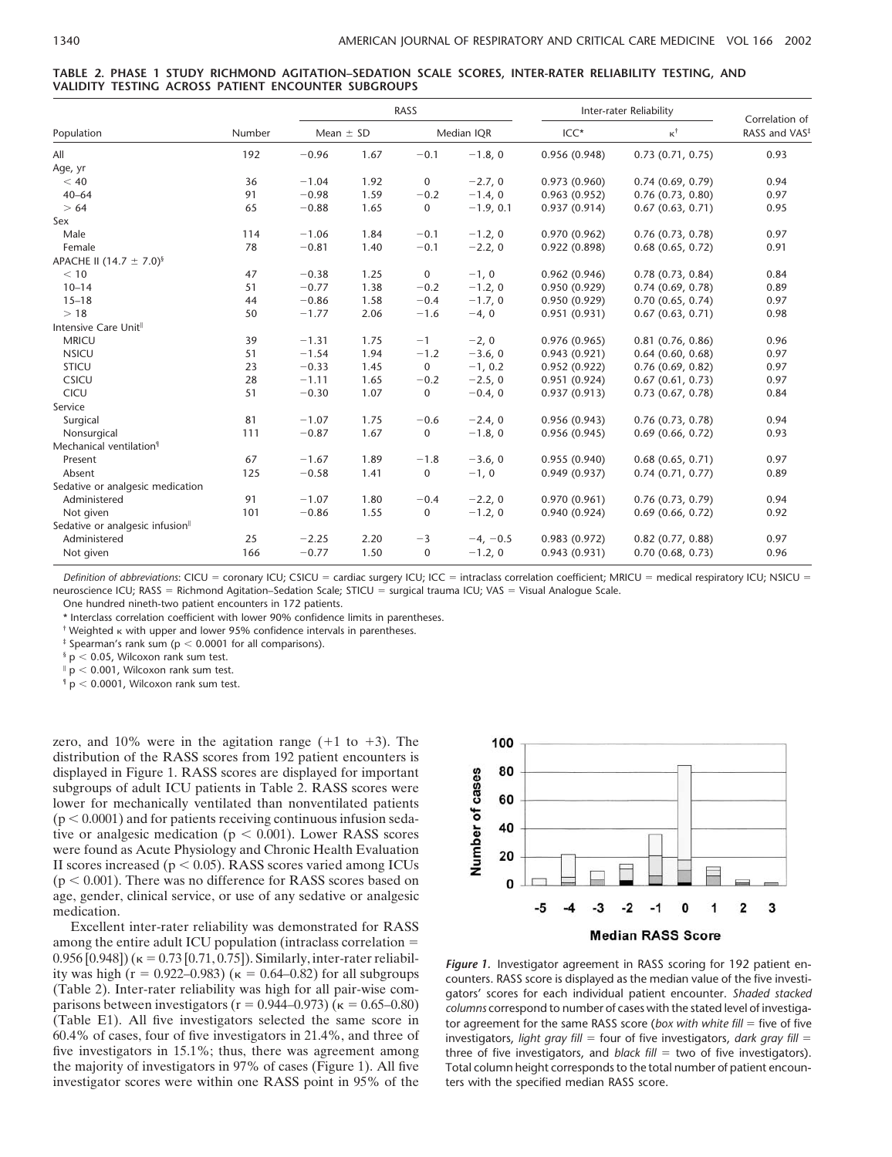|  |  |                                                     |  | TABLE 2. PHASE 1 STUDY RICHMOND AGITATION-SEDATION SCALE SCORES, INTER-RATER RELIABILITY TESTING, AND |  |  |
|--|--|-----------------------------------------------------|--|-------------------------------------------------------------------------------------------------------|--|--|
|  |  | VALIDITY TESTING ACROSS PATIENT ENCOUNTER SUBGROUPS |  |                                                                                                       |  |  |

|                                             |        | RASS          |      |             |             | Inter-rater Reliability | Correlation of     |                           |
|---------------------------------------------|--------|---------------|------|-------------|-------------|-------------------------|--------------------|---------------------------|
| Population                                  | Number | Mean $\pm$ SD |      | Median IQR  |             | $ICC*$                  | $\kappa^{\dagger}$ | RASS and VAS <sup>‡</sup> |
| All                                         | 192    | $-0.96$       | 1.67 | $-0.1$      | $-1.8, 0$   | 0.956(0.948)            | 0.73(0.71, 0.75)   | 0.93                      |
| Age, yr                                     |        |               |      |             |             |                         |                    |                           |
| < 40                                        | 36     | $-1.04$       | 1.92 | $\mathbf 0$ | $-2.7, 0$   | 0.973(0.960)            | 0.74(0.69, 0.79)   | 0.94                      |
| $40 - 64$                                   | 91     | $-0.98$       | 1.59 | $-0.2$      | $-1.4, 0$   | 0.963(0.952)            | 0.76(0.73, 0.80)   | 0.97                      |
| > 64                                        | 65     | $-0.88$       | 1.65 | $\mathbf 0$ | $-1.9, 0.1$ | 0.937(0.914)            | 0.67(0.63, 0.71)   | 0.95                      |
| Sex                                         |        |               |      |             |             |                         |                    |                           |
| Male                                        | 114    | $-1.06$       | 1.84 | $-0.1$      | $-1.2, 0$   | 0.970(0.962)            | 0.76(0.73, 0.78)   | 0.97                      |
| Female                                      | 78     | $-0.81$       | 1.40 | $-0.1$      | $-2.2, 0$   | 0.922(0.898)            | 0.68(0.65, 0.72)   | 0.91                      |
| APACHE II (14.7 $\pm$ 7.0) <sup>§</sup>     |        |               |      |             |             |                         |                    |                           |
| < 10                                        | 47     | $-0.38$       | 1.25 | $\mathbf 0$ | $-1, 0$     | 0.962(0.946)            | 0.78(0.73, 0.84)   | 0.84                      |
| $10 - 14$                                   | 51     | $-0.77$       | 1.38 | $-0.2$      | $-1.2, 0$   | 0.950(0.929)            | 0.74(0.69, 0.78)   | 0.89                      |
| $15 - 18$                                   | 44     | $-0.86$       | 1.58 | $-0.4$      | $-1.7, 0$   | 0.950(0.929)            | 0.70(0.65, 0.74)   | 0.97                      |
| >18                                         | 50     | $-1.77$       | 2.06 | $-1.6$      | $-4, 0$     | 0.951(0.931)            | 0.67(0.63, 0.71)   | 0.98                      |
| Intensive Care Unit <sup>®</sup>            |        |               |      |             |             |                         |                    |                           |
| <b>MRICU</b>                                | 39     | $-1.31$       | 1.75 | $-1$        | $-2, 0$     | 0.976(0.965)            | 0.81(0.76, 0.86)   | 0.96                      |
| <b>NSICU</b>                                | 51     | $-1.54$       | 1.94 | $-1.2$      | $-3.6, 0$   | 0.943(0.921)            | 0.64(0.60, 0.68)   | 0.97                      |
| <b>STICU</b>                                | 23     | $-0.33$       | 1.45 | 0           | $-1, 0.2$   | 0.952(0.922)            | 0.76(0.69, 0.82)   | 0.97                      |
| CSICU                                       | 28     | $-1.11$       | 1.65 | $-0.2$      | $-2.5, 0$   | 0.951(0.924)            | 0.67(0.61, 0.73)   | 0.97                      |
| CICU                                        | 51     | $-0.30$       | 1.07 | $\mathbf 0$ | $-0.4, 0$   | 0.937(0.913)            | 0.73(0.67, 0.78)   | 0.84                      |
| Service                                     |        |               |      |             |             |                         |                    |                           |
| Surgical                                    | 81     | $-1.07$       | 1.75 | $-0.6$      | $-2.4, 0$   | 0.956(0.943)            | 0.76(0.73, 0.78)   | 0.94                      |
| Nonsurgical                                 | 111    | $-0.87$       | 1.67 | $\mathbf 0$ | $-1.8, 0$   | 0.956(0.945)            | 0.69(0.66, 0.72)   | 0.93                      |
| Mechanical ventilation <sup>9</sup>         |        |               |      |             |             |                         |                    |                           |
| Present                                     | 67     | $-1.67$       | 1.89 | $-1.8$      | $-3.6, 0$   | 0.955(0.940)            | 0.68(0.65, 0.71)   | 0.97                      |
| Absent                                      | 125    | $-0.58$       | 1.41 | $\mathbf 0$ | $-1, 0$     | 0.949(0.937)            | 0.74(0.71, 0.77)   | 0.89                      |
| Sedative or analgesic medication            |        |               |      |             |             |                         |                    |                           |
| Administered                                | 91     | $-1.07$       | 1.80 | $-0.4$      | $-2.2, 0$   | 0.970(0.961)            | 0.76(0.73, 0.79)   | 0.94                      |
| Not given                                   | 101    | $-0.86$       | 1.55 | $\mathbf 0$ | $-1.2, 0$   | 0.940(0.924)            | 0.69(0.66, 0.72)   | 0.92                      |
| Sedative or analgesic infusion <sup>®</sup> |        |               |      |             |             |                         |                    |                           |
| Administered                                | 25     | $-2.25$       | 2.20 | $-3$        | $-4, -0.5$  | 0.983(0.972)            | 0.82(0.77, 0.88)   | 0.97                      |
| Not given                                   | 166    | $-0.77$       | 1.50 | $\mathbf 0$ | $-1.2, 0$   | 0.943(0.931)            | 0.70(0.68, 0.73)   | 0.96                      |

*Definition of abbreviations*: CICU = coronary ICU; CSICU = cardiac surgery ICU; ICC = intraclass correlation coefficient; MRICU = medical respiratory ICU; NSICU = neuroscience ICU; RASS = Richmond Agitation–Sedation Scale; STICU = surgical trauma ICU; VAS = Visual Analogue Scale.

One hundred nineth-two patient encounters in 172 patients.

\* Interclass correlation coefficient with lower 90% confidence limits in parentheses.

 $\dagger$  Weighted  $\kappa$  with upper and lower 95% confidence intervals in parentheses.

 $\frac{1}{4}$  Spearman's rank sum (p < 0.0001 for all comparisons).

 $§$  p < 0.05, Wilcoxon rank sum test.

 $p < 0.001$ , Wilcoxon rank sum test.

 $p < 0.0001$ , Wilcoxon rank sum test.

zero, and 10% were in the agitation range  $(+1 \text{ to } +3)$ . The distribution of the RASS scores from 192 patient encounters is displayed in Figure 1. RASS scores are displayed for important subgroups of adult ICU patients in Table 2. RASS scores were lower for mechanically ventilated than nonventilated patients  $(p < 0.0001)$  and for patients receiving continuous infusion sedative or analgesic medication ( $p < 0.001$ ). Lower RASS scores were found as Acute Physiology and Chronic Health Evaluation II scores increased ( $p < 0.05$ ). RASS scores varied among ICUs  $(p < 0.001)$ . There was no difference for RASS scores based on age, gender, clinical service, or use of any sedative or analgesic medication.

Excellent inter-rater reliability was demonstrated for RASS among the entire adult ICU population (intraclass correlation 0.956 [0.948]) ( $\kappa = 0.73$  [0.71, 0.75]). Similarly, inter-rater reliabil-<br>ity was high ( $r = 0.922-0.983$ ) ( $\kappa = 0.64-0.82$ ) for all subgroups<br>(Table 2). Inter-rater reliability was high for all pair-wise com-<br>parisons 60.4% of cases, four of five investigators in 21.4%, and three of investigators, *light gray fill* = four of five investigators, *dark gray fill* = five investigators in 15.1%; thus, there was agreement among three of fiv five investigators in 15.1%; thus, there was agreement among three of five investigators, and *black fill* = two of five investigators).<br>the majority of investigators in 97% of cases (Figure 1). All five Total column heigh investigator scores were within one RASS point in 95% of the ters with the specified median RASS score.



parisons between investigators (r = 0.944–0.973) (k = 0.65–0.80) *columns* correspond to number of cases with the stated level of investiga-<br>(Table E1). All five investigators selected the same score in tor agreement for t (Table E1). All five investigators selected the same score in tor agreement for the same RASS score (*box with white fill* = five of five investigators in 21.4%, and three of investigators. *light gray fill* = four of fiv Total column height corresponds to the total number of patient encoun-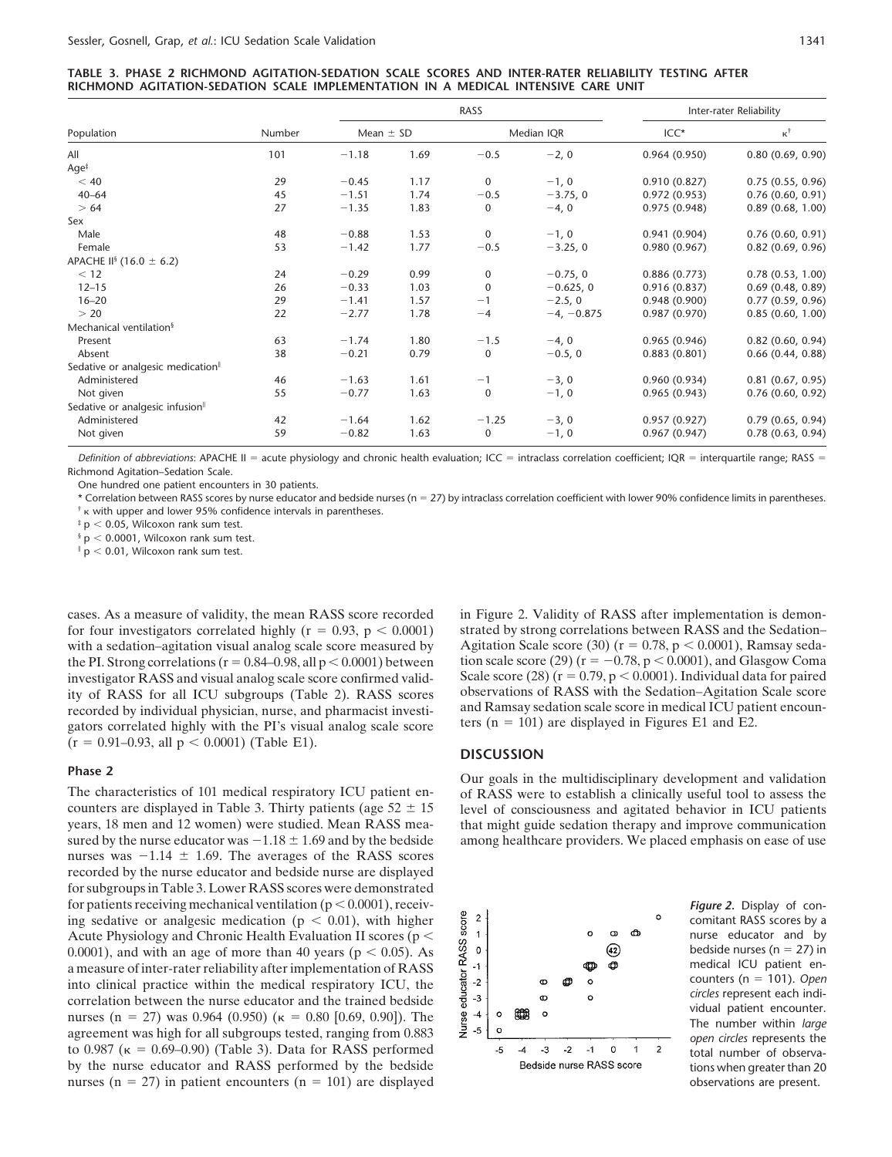| TABLE 3. PHASE 2 RICHMOND AGITATION-SEDATION SCALE SCORES AND INTER-RATER RELIABILITY TESTING AFTER |  |  |  |  |
|-----------------------------------------------------------------------------------------------------|--|--|--|--|
| RICHMOND AGITATION-SEDATION SCALE IMPLEMENTATION IN A MEDICAL INTENSIVE CARE UNIT                   |  |  |  |  |

|                                               |        |               |      | RASS        | Inter-rater Reliability |              |                     |  |
|-----------------------------------------------|--------|---------------|------|-------------|-------------------------|--------------|---------------------|--|
| Population                                    | Number | Mean $\pm$ SD |      |             | Median IQR              | $ICC*$       | $\kappa^{\dagger}$  |  |
| All                                           | 101    | $-1.18$       | 1.69 | $-0.5$      | $-2, 0$                 | 0.964(0.950) | 0.80(0.69, 0.90)    |  |
| Age <sup>†</sup>                              |        |               |      |             |                         |              |                     |  |
| < 40                                          | 29     | $-0.45$       | 1.17 | $\Omega$    | $-1, 0$                 | 0.910(0.827) | 0.75(0.55, 0.96)    |  |
| $40 - 64$                                     | 45     | $-1.51$       | 1.74 | $-0.5$      | $-3.75, 0$              | 0.972(0.953) | 0.76(0.60, 0.91)    |  |
| >64                                           | 27     | $-1.35$       | 1.83 | $\mathbf 0$ | $-4, 0$                 | 0.975(0.948) | 0.89(0.68, 1.00)    |  |
| Sex                                           |        |               |      |             |                         |              |                     |  |
| Male                                          | 48     | $-0.88$       | 1.53 | $\Omega$    | $-1, 0$                 | 0.941(0.904) | 0.76(0.60, 0.91)    |  |
| Female                                        | 53     | $-1.42$       | 1.77 | $-0.5$      | $-3.25, 0$              | 0.980(0.967) | 0.82(0.69, 0.96)    |  |
| APACHE II <sup>§</sup> (16.0 ± 6.2)           |        |               |      |             |                         |              |                     |  |
| < 12                                          | 24     | $-0.29$       | 0.99 | $\mathbf 0$ | $-0.75, 0$              | 0.886(0.773) | 0.78(0.53, 1.00)    |  |
| $12 - 15$                                     | 26     | $-0.33$       | 1.03 | $\mathbf 0$ | $-0.625, 0$             | 0.916(0.837) | 0.69(0.48, 0.89)    |  |
| $16 - 20$                                     | 29     | $-1.41$       | 1.57 | $-1$        | $-2.5, 0$               | 0.948(0.900) | 0.77(0.59, 0.96)    |  |
| > 20                                          | 22     | $-2.77$       | 1.78 | $-4$        | $-4, -0.875$            | 0.987(0.970) | 0.85(0.60, 1.00)    |  |
| Mechanical ventilation <sup>§</sup>           |        |               |      |             |                         |              |                     |  |
| Present                                       | 63     | $-1.74$       | 1.80 | $-1.5$      | $-4, 0$                 | 0.965(0.946) | $0.82$ (0.60, 0.94) |  |
| Absent                                        | 38     | $-0.21$       | 0.79 | $\mathbf 0$ | $-0.5, 0$               | 0.883(0.801) | 0.66(0.44, 0.88)    |  |
| Sedative or analgesic medication <sup>®</sup> |        |               |      |             |                         |              |                     |  |
| Administered                                  | 46     | $-1.63$       | 1.61 | $-1$        | $-3, 0$                 | 0.960(0.934) | 0.81(0.67, 0.95)    |  |
| Not given                                     | 55     | $-0.77$       | 1.63 | $\mathbf 0$ | $-1, 0$                 | 0.965(0.943) | 0.76(0.60, 0.92)    |  |
| Sedative or analgesic infusion <sup>II</sup>  |        |               |      |             |                         |              |                     |  |
| Administered                                  | 42     | $-1.64$       | 1.62 | $-1.25$     | $-3, 0$                 | 0.957(0.927) | 0.79(0.65, 0.94)    |  |
| Not given                                     | 59     | $-0.82$       | 1.63 | 0           | $-1, 0$                 | 0.967(0.947) | 0.78(0.63, 0.94)    |  |

Definition of abbreviations: APACHE II = acute physiology and chronic health evaluation; ICC = intraclass correlation coefficient; IQR = interquartile range; RASS = Richmond Agitation–Sedation Scale.

One hundred one patient encounters in 30 patients.

\* Correlation between RASS scores by nurse educator and bedside nurses (n 27) by intraclass correlation coefficient with lower 90% confidence limits in parentheses.  $<sup>†</sup>$   $<sup>K</sup>$  with upper and lower 95% confidence intervals in parentheses.</sup></sup>

 $p < 0.05$ , Wilcoxon rank sum test.

 $§$  p < 0.0001, Wilcoxon rank sum test.

 $p < 0.01$ , Wilcoxon rank sum test.

cases. As a measure of validity, the mean RASS score recorded in Figure 2. Validity of RASS after implementation is demonrecorded by individual physician, nurse, and pharmacist investi-<br>gators correlated highly with the PI's visual analog scale score<br>ters  $(n = 101)$  are displayed in Figures E1 and E2.  $(r = 0.91 - 0.93, \text{ all } p < 0.0001)$  (Table E1). **DISCUSSION** 

counters are displayed in Table 3. Thirty patients (age  $52 \pm 15$  level of consciousness and agitated behavior in ICU patients years, 18 men and 12 women) were studied. Mean RASS mea- that might guide sedation therapy and improve communication sured by the nurse educator was  $-1.18 \pm 1.69$  and by the bedside nurses was  $-1.14 \pm 1.69$ . The averages of the RASS scores recorded by the nurse educator and bedside nurse are displayed for subgroups in Table 3. Lower RASS scores were demonstrated for patients receiving mechanical ventilation (p < 0.0001), receiv-<br>
ing sedative or analgesic medication (p < 0.01), with higher<br>
Acute Physiology and Chronic Health Evaluation II scores (p <  $\frac{9}{9}$  and a measure of i ing sedative or analgesic medication (p < 0.01), with higher  $\frac{5}{6}$   $\frac{2}{1}$  and comitant RASS scores by a<br>Acute Physiology and Chronic Health Evaluation II scores (p <  $\frac{8}{1}$  and  $\frac{1}{1}$  and  $\frac{1}{1}$  and  $\frac{1}{$ Acute Physiology and Chronic Health Evaluation II scores ( $p < \frac{a}{q}$ ,  $\frac{1}{q}$  o  $\frac{a}{q}$  o nurse educator and by 0.0001), and with an age of more than 40 years ( $p < 0.05$ ). As  $\frac{a}{q}$  o  $\frac{a}{q}$  (42) bedside nurses 0.0001), and with an age of more than 40 years (p < 0.05). As  $\begin{matrix} 2 & 0 \\ 4 & 2 \end{matrix}$  bedside nurses (n = 2/) in<br>a measure of inter-rater reliability after implementation of RASS  $\begin{matrix} 4 & 0 \\ 4 & -1 \end{matrix}$  **computer** a measure of inter-rater reliability after implementation of RASS into clinical practice within the medical respiratory ICU, the<br>
correlation between the nurse educator and the trained bedside<br>
murses (n = 27) was 0.964 ( to 0.987 ( $\kappa = 0.69-0.90$ ) (Table 3). Data for RASS performed  $\kappa = 5$  -4  $\kappa = -3$   $-3$   $-2$   $-1$  0  $-1$   $-2$  total number of observa-<br>by the nurse educator and RASS performed by the bedside Bedside nurse RASS score tion by the nurse educator and RASS performed by the bedside **Bedside nurse RASS score** tions when greater than 20 nurses ( $n = 27$ ) in patient encounters ( $n = 101$ ) are displayed observations are present.

for four investigators correlated highly  $(r = 0.93, p < 0.0001)$  strated by strong correlations between RASS and the Sedation– with a sedation–agitation visual analog scale score measured by Agitation Scale score (30) ( $r = 0.78$ ,  $p < 0.0001$ ), Ramsay sedathe PI. Strong correlations (r = 0.84–0.98, all p < 0.0001) between tion scale score (29) (r = -0.78, p < 0.0001), and Glasgow Coma<br>investigator RASS and visual analog scale score confirmed valid-<br>Scale score (28) (r = 0. tion scale score (29) ( $r = -0.78$ ,  $p < 0.0001$ ), and Glasgow Coma investigator RASS and visual analog scale score confirmed valid-<br>
ity of RASS for all ICU subgroups (Table 2). RASS scores bservations of RASS with the Sedation–Agitation Scale score ity of RASS for all ICU subgroups (Table 2). RASS scores observations of RASS with the Sedation–Agitation Scale score<br>recorded by individual physician nurse, and pharmacist investi- and Ramsay sedation scale score in medic

**Phase 2** Our goals in the multidisciplinary development and validation<br>The characteristics of 101 medical respiratory ICU patient en-<br>of RASS were to establish a clinically useful tool to assess the of RASS were to establish a clinically useful tool to assess the among healthcare providers. We placed emphasis on ease of use

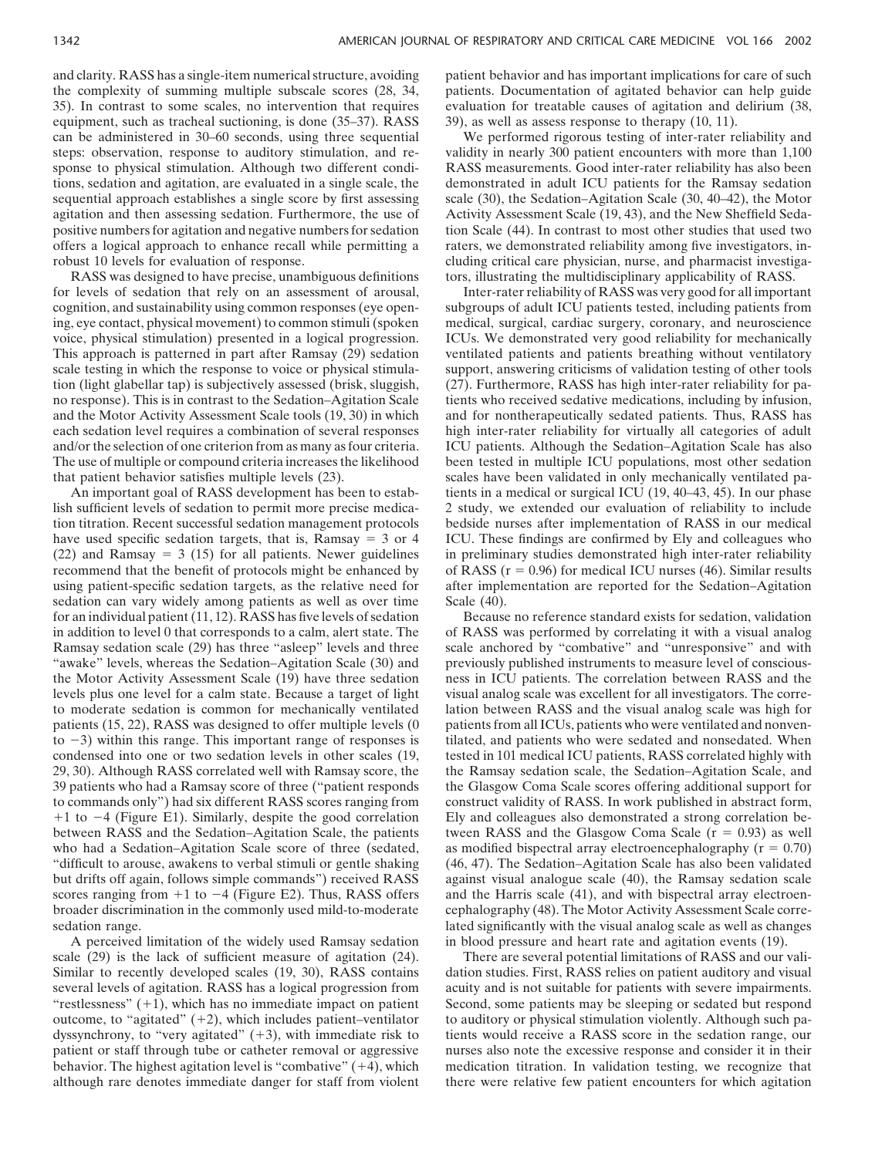and clarity. RASS has a single-item numerical structure, avoiding patient behavior and has important implications for care of such the complexity of summing multiple subscale scores (28, 34, patients. Documentation of agitated behavior can help guide 35). In contrast to some scales, no intervention that requires evaluation for treatable causes of agitation and delirium (38, equipment, such as tracheal suctioning, is done  $(35-37)$ . RASS 39), as well as assess response to therapy  $(10, 11)$ . can be administered in 30–60 seconds, using three sequential We performed rigorous testing of inter-rater reliability and steps: observation, response to auditory stimulation, and re- validity in nearly 300 patient encounters with more than 1,100 sponse to physical stimulation. Although two different condi-<br>RASS measurements. Good inter-rater reliability has also been tions, sedation and agitation, are evaluated in a single scale, the demonstrated in adult ICU patients for the Ramsay sedation sequential approach establishes a single score by first assessing scale (30), the Sedation–Agitation Scale (30, 40–42), the Motor agitation and then assessing sedation. Furthermore, the use of Activity Assessment Scale (19, 43), and the New Sheffield Sedapositive numbers for agitation and negative numbers for sedation tion Scale (44). In contrast to most other studies that used two offers a logical approach to enhance recall while permitting a raters, we demonstrated reliability among five investigators, in-

for levels of sedation that rely on an assessment of arousal, Inter-rater reliability of RASS was very good for all important cognition, and sustainability using common responses (eye open- subgroups of adult ICU patients tested, including patients from ing, eye contact, physical movement) to common stimuli (spoken medical, surgical, cardiac surgery, coronary, and neuroscience voice, physical stimulation) presented in a logical progression. ICUs. We demonstrated very good reliability for mechanically This approach is patterned in part after Ramsay (29) sedation ventilated patients and patients breathing without ventilatory scale testing in which the response to voice or physical stimula- support, answering criticisms of validation testing of other tools tion (light glabellar tap) is subjectively assessed (brisk, sluggish, (27). Furthermore, RASS has high inter-rater reliability for pano response). This is in contrast to the Sedation–Agitation Scale tients who received sedative medications, including by infusion, and the Motor Activity Assessment Scale tools (19, 30) in which and for nontherapeutically sedated patients. Thus, RASS has each sedation level requires a combination of several responses high inter-rater reliability for virtually all categories of adult and/or the selection of one criterion from as many as four criteria. ICU patients. Although the Sedation–Agitation Scale has also The use of multiple or compound criteria increases the likelihood been tested in multiple ICU populations, most other sedation that patient behavior satisfies multiple levels (23). scales have been validated in only mechanically ventilated pa-

lish sufficient levels of sedation to permit more precise medica- 2 study, we extended our evaluation of reliability to include tion titration. Recent successful sedation management protocols bedside nurses after implementation of RASS in our medical have used specific sedation targets, that is, Ramsay  $= 3$  or  $\frac{4}{10}$  ICU. These findings are confirmed by Ely and colleagues who  $(22)$  and Ramsay = 3 (15) for all patients. Newer guidelines in preliminary studies demonstrated high inter-rater reliability recommend that the benefit of protocols might be enhanced by of RASS  $(r = 0.96)$  for medical ICU nurses (46). Similar results using patient-specific sedation targets, as the relative need for after implementation are reported for the Sedation–Agitation sedation can vary widely among patients as well as over time Scale (40). for an individual patient (11, 12). RASS has five levels of sedation Because no reference standard exists for sedation, validation in addition to level 0 that corresponds to a calm, alert state. The of RASS was performed by correlating it with a visual analog Ramsay sedation scale (29) has three "asleep" levels and three scale anchored by "combative" and "unresponsive" and with "awake" levels, whereas the Sedation–Agitation Scale (30) and previously published instruments to measure level of consciousthe Motor Activity Assessment Scale (19) have three sedation ness in ICU patients. The correlation between RASS and the levels plus one level for a calm state. Because a target of light visual analog scale was excellent for all investigators. The correto moderate sedation is common for mechanically ventilated lation between RASS and the visual analog scale was high for patients (15, 22), RASS was designed to offer multiple levels (0 patients from all ICUs, patients who were ventilated and nonvento  $-3$ ) within this range. This important range of responses is condensed into one or two sedation levels in other scales (19, tested in 101 medical ICU patients, RASS correlated highly with 29, 30). Although RASS correlated well with Ramsay score, the the Ramsay sedation scale, the Sedation–Agitation Scale, and 39 patients who had a Ramsay score of three ("patient responds the Glasgow Coma Scale scores offering additional support for to commands only") had six different RASS scores ranging from construct validity of RASS. In work published in abstract form,  $+1$  to  $-4$  (Figure E1). Similarly, despite the good correlation between RASS and the Sedation–Agitation Scale, the patients tween RASS and the Glasgow Coma Scale ( $r = 0.93$ ) as well who had a Sedation–Agitation Scale score of three (sedated, as modified bispectral array electroencephalography  $(r = 0.70)$ ) "difficult to arouse, awakens to verbal stimuli or gentle shaking (46, 47). The Sedation–Agitation Scale has also been validated but drifts off again, follows simple commands") received RASS against visual analogue scale (40), the Ramsay sedation scale scores ranging from  $+1$  to  $-4$  (Figure E2). Thus, RASS offers broader discrimination in the commonly used mild-to-moderate cephalography (48). The Motor Activity Assessment Scale corresedation range. lated significantly with the visual analog scale as well as changes

robust 10 levels for evaluation of response. cluding critical care physician, nurse, and pharmacist investiga-RASS was designed to have precise, unambiguous definitions tors, illustrating the multidisciplinary applicability of RASS.

An important goal of RASS development has been to estab- tients in a medical or surgical ICU (19, 40–43, 45). In our phase

tilated, and patients who were sedated and nonsedated. When Ely and colleagues also demonstrated a strong correlation beand the Harris scale (41), and with bispectral array electroen-A perceived limitation of the widely used Ramsay sedation in blood pressure and heart rate and agitation events (19).

scale (29) is the lack of sufficient measure of agitation (24). There are several potential limitations of RASS and our vali-Similar to recently developed scales (19, 30), RASS contains dation studies. First, RASS relies on patient auditory and visual several levels of agitation. RASS has a logical progression from acuity and is not suitable for patients with severe impairments. "restlessness"  $(+1)$ , which has no immediate impact on patient Second, some patients may be sleeping or sedated but respond outcome, to "agitated"  $(+2)$ , which includes patient–ventilator to auditory or physical stimulation violently. Although such padyssynchrony, to "very agitated" (+3), with immediate risk to tients would receive a RASS score in the sedation range, our patient or staff through tube or catheter removal or aggressive nurses also note the excessive response and consider it in their behavior. The highest agitation level is "combative"  $(+4)$ , which medication titration. In validation testing, we recognize that although rare denotes immediate danger for staff from violent there were relative few patient encounters for which agitation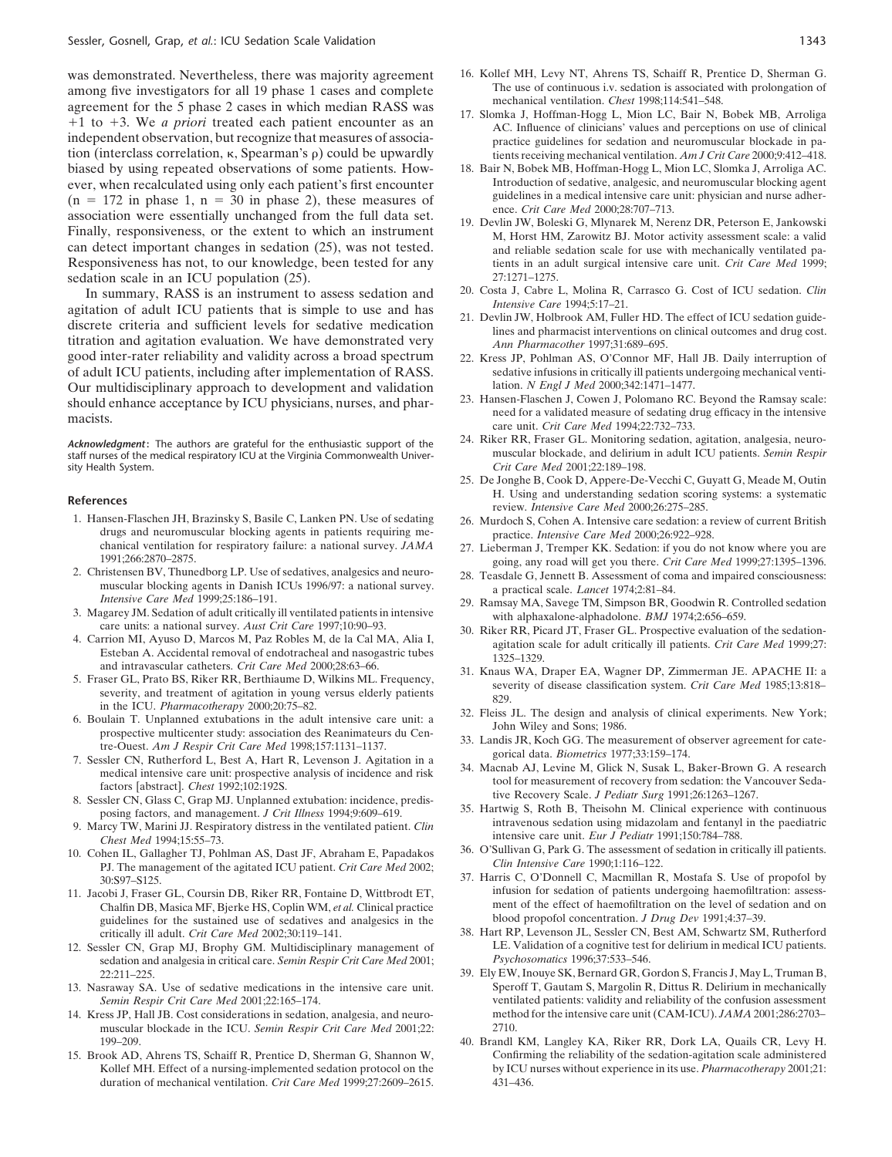among five investigators for all 19 phase 1 cases and complete<br>agreement for the 5 phase 2 cases in which median RASS was<br>+1 to +3. We *a priori* treated each patient encounter as an<br>independent observation, but recognize tion (interclass correlation,  $\kappa$ , Spearman's  $\rho$ ) could be upwardly tients receiving mechanical ventilation. *Am J Crit Care* 2000;9:412–418. biased by using repeated observations of some patients. How- 18. Bair N, Bobek MB, Hoffman-Hogg L, Mion LC, Slomka J, Arroliga AC. ever, when recalculated using only each patient's first encounter Introduction of sedative, analgesic, and neuromuscular blocking agent  $(n = 172)$  in phase  $1 \cdot n = 30$  in phase  $2)$ , these measures of guidelines in a medica  $\begin{array}{lllllllllll}\n(n = 172 \text{ in phase 1, n = 30 in phase 2)},\n\text{the same number of the total number of the total number of times in a median.}\n\end{array}\n\quad\text{The final problem is a mean of the total number of times in a median.}\n\quad\text{The final problem is a mean of the total number of times in a median.}\n\quad\text{The final problem is a mean of the total number of times in a median.}\n\quad\text{The final problem is a mean of the total number of times in a median.}\n\quad\text{The final problem is a mean of the total number of times in a median.}\n\quad\text{The final problem is a mean of the total number of times in a median.}\n\quad\text{The final problem is a mean of the total number$ Responsiveness has not, to our knowledge, been tested for any tients in an adult surgical intensive care unit. *Crit Care Med* 1999; sedation scale in an ICU population (25).<br>In summary, RASS is an instrument to assess sedation and <sup>20.</sup> Costa J, Cabre L, Molina R, Carrasco G. Cost of ICU sedation. Clin

In summary, RASS is an instrument to assess sedation and<br>agitation of adult ICU patients that is simple to use and has<br>discrete criteria and sufficient levels for sedative medication<br>discrete criteria and sufficient levels good inter-rater reliability and validity across a broad spectrum 22. Kress JP, Pohlman AS, O'Connor MF, Hall JB. Daily interruption of of adult ICU patients, including after implementation of RASS.<br>Our multidisciplinary approach to development and validation lation. N Engl J Med 2000;342:1471-1477. Our multidisciplinary approach to development and validation lation. *N Engl J Med* 2000;342:1471–1477.<br>
should enhance acceptance by ICU physicians, purses, and phar. 23. Hansen-Flaschen J, Cowen J, Polomano RC. Beyond th

sity Health System. *Crit Care Med* 2001;22:189–198.

- drugs and neuromuscular blocking agents in patients requiring me-<br>
chanical ventilation for respiratory failure: a national survey. *JAMA* 27. Lieberman J. Tremper KK. Sedation: if you do n
- 
- 
- 
- 
- 
- 
- 
- 
- 
- Chalfin DB, Masica MF, Bjerke HS, Coplin WM, *et al.* Clinical practice ment of the effect of haemofiltration on the level of sed<br>
guidelines for the sustained use of sedatives and analogsics in the blood propofol concentr guidelines for the sustained use of sedatives and analgesics in the
- 12. Sessler CN, Grap MJ, Brophy GM. Multidisciplinary management of LE. Validation of a cognitive test sedation and analysia in critical care. Semin Respir Crit Care Med 2001: Psychosomatics 1996;37:533–546. sedation and analgesia in critical care. *Semin Respir Crit Care Med* 2001;
- 13. Nasraway SA. Use of sedative medications in the intensive care unit.
- muscular blockade in the ICU. *Semin Respir Crit Care Med* 2001;22: 2710. 199–209. 40. Brandl KM, Langley KA, Riker RR, Dork LA, Quails CR, Levy H.
- duration of mechanical ventilation. *Crit Care Med* 1999;27:2609–2615. 431–436.
- was demonstrated. Nevertheless, there was majority agreement 16. Kollef MH, Levy NT, Ahrens TS, Schaiff R, Prentice D, Sherman G.<br>among five investigators for all 19 phase 1 cases and complete The use of continuous i.v. se
	-
	-
	- and reliable sedation scale for use with mechanically ventilated pa-
	-
	-
	-
- should enhance acceptance by ICU physicians, nurses, and phar-<br>macists.<br>macists.<br>care unit. *Crit Care Med* 1994;22:732-733.
- Acknowledgment: The authors are grateful for the enthusiastic support of the 24. Riker RR, Fraser GL. Monitoring sedation, agitation, analgesia, neuro-<br>staff nurses of the medical respiratory ICU at the Virginia Commonweal
- 25. De Jonghe B, Cook D, Appere-De-Vecchi C, Guyatt G, Meade M, Outin H. Using and understanding sedation scoring systems: a systematic<br>
Thensive Care Med 2000;26:275–285.<br>
1. Hansen-Flaschen JH, Brazinsky S, Basile C, Lanken PN. Use of sedating<br>
26. Murdoch S. Cohen A. Intensive care sedati
	- 26. Murdoch S, Cohen A. Intensive care sedation: a review of current British
- chanical ventilation for respiratory failure: a national survey. *JAMA* 27. Lieberman J, Tremper KK. Sedation: if you do not know where you are<br>1991;266:2870–2875.<br>2. Christensen BV, Thunedborg LP. Use of sedatives, analge
	-
	-
- 2. Christensen BV, Thunedborg LP. Use of sedatives, analgesics and neuro-<br>
muscular blocking agents in Danish ICUs 1996/97: a national survey.<br>
Intensive Care Med 1999;25:186–191.<br>
29. Ramsay MA, Savege TM, Simpson BR, Goo
- and intravascular catheters. Crit Care Med 2000;28:63–66.<br>
5. Fraser GL, Prato BS, Riser RR, Berthaiume D, Wilkins ML. Frequency,<br>
severity of disease classification system. Crit Care Med 1985;13:818–<br>
severity, and treatm
	-
	-
	-
	-
- 9. Marcy TW, Marini JJ. Respiratory distress in the ventilated patient. *Clin* Intravenous secution using midazolam and fentanyl in the paediatric chest Med 1994;15:55–73.<br>
10. Cohen IL, Gallagher TJ, Pohlman AS, Dast JF,
- 37. Harris C, O'Donnell C, Macmillan R, Mostafa S. Use of propofol by<br>
cobi J Fraser GL Coursin DB Riker RR Fontaine D Wittbrodt FT infusion for sedation of patients undergoing haemofiltration: assess-11. Jacobi J, Fraser GL, Coursin DB, Riker RR, Fontaine D, Wittbrodt ET,<br>Chalfin DB, Masica MF, Bierke HS, Coplin WM, et al. Clinical practice ment of the effect of haemofiltration on the level of sedation and on
	- critically ill adult. *Crit Care Med* 2002;30:119-141. 38. Hart RP, Levenson JL, Sessler CN, Best AM, Schwartz SM, Rutherford<br>ssler CN, Grap MJ, Brophy GM. Multidisciplinary management of LE. Validation of a cognitive test
- 22:211–225.<br>39. Ely EW, Inouye SK, Bernard GR, Gordon S, Francis J, May L, Truman B, Sparsovay SA. Use of sedative medications in the intensive care unit. Speroff T, Gautam S, Margolin R, Dittus R. Delirium in mechanically *Semin Respir Crit Care Med* 2001;22:165–174. ventilated patients: validity and reliability of the confusion assessment 14. Kress JP, Hall JB. Cost considerations in sedation, analgesia, and neuro- method for the intensive care unit (CAM-ICU). *JAMA* 2001;286:2703–
- 15. Brook AD, Ahrens TS, Schaiff R, Prentice D, Sherman G, Shannon W, Confirming the reliability of the sedation-agitation scale administered Kollef MH. Effect of a nursing-implemented sedation protocol on the by ICU nurses without experience in its use. *Pharmacotherapy* 2001;21: